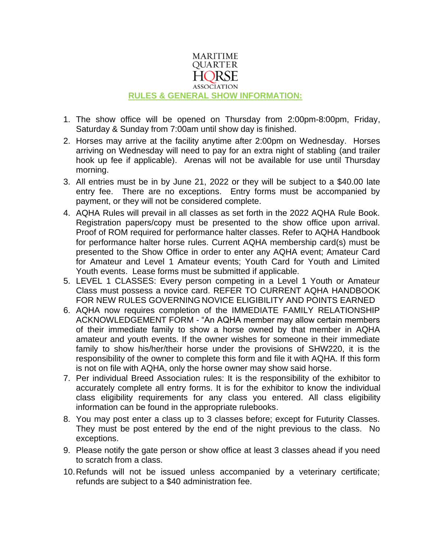

- 1. The show office will be opened on Thursday from 2:00pm-8:00pm, Friday, Saturday & Sunday from 7:00am until show day is finished.
- 2. Horses may arrive at the facility anytime after 2:00pm on Wednesday. Horses arriving on Wednesday will need to pay for an extra night of stabling (and trailer hook up fee if applicable). Arenas will not be available for use until Thursday morning.
- 3. All entries must be in by June 21, 2022 or they will be subject to a \$40.00 late entry fee. There are no exceptions. Entry forms must be accompanied by payment, or they will not be considered complete.
- 4. AQHA Rules will prevail in all classes as set forth in the 2022 AQHA Rule Book. Registration papers/copy must be presented to the show office upon arrival. Proof of ROM required for performance halter classes. Refer to AQHA Handbook for performance halter horse rules. Current AQHA membership card(s) must be presented to the Show Office in order to enter any AQHA event; Amateur Card for Amateur and Level 1 Amateur events; Youth Card for Youth and Limited Youth events. Lease forms must be submitted if applicable.
- 5. LEVEL 1 CLASSES: Every person competing in a Level 1 Youth or Amateur Class must possess a novice card. REFER TO CURRENT AQHA HANDBOOK FOR NEW RULES GOVERNING NOVICE ELIGIBILITY AND POINTS EARNED
- 6. AQHA now requires completion of the IMMEDIATE FAMILY RELATIONSHIP ACKNOWLEDGEMENT FORM - "An AQHA member may allow certain members of their immediate family to show a horse owned by that member in AQHA amateur and youth events. If the owner wishes for someone in their immediate family to show his/her/their horse under the provisions of SHW220, it is the responsibility of the owner to complete this form and file it with AQHA. If this form is not on file with AQHA, only the horse owner may show said horse.
- 7. Per individual Breed Association rules: It is the responsibility of the exhibitor to accurately complete all entry forms. It is for the exhibitor to know the individual class eligibility requirements for any class you entered. All class eligibility information can be found in the appropriate rulebooks.
- 8. You may post enter a class up to 3 classes before; except for Futurity Classes. They must be post entered by the end of the night previous to the class. No exceptions.
- 9. Please notify the gate person or show office at least 3 classes ahead if you need to scratch from a class.
- 10.Refunds will not be issued unless accompanied by a veterinary certificate; refunds are subject to a \$40 administration fee.